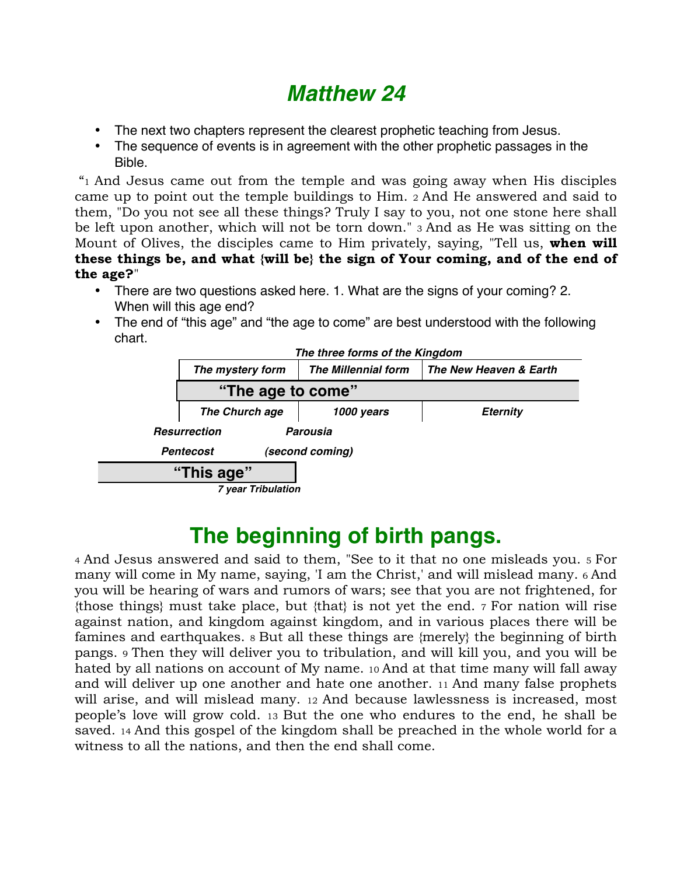# *Matthew 24*

- The next two chapters represent the clearest prophetic teaching from Jesus.
- The sequence of events is in agreement with the other prophetic passages in the Bible.

 "1 And Jesus came out from the temple and was going away when His disciples came up to point out the temple buildings to Him. 2 And He answered and said to them, "Do you not see all these things? Truly I say to you, not one stone here shall be left upon another, which will not be torn down." 3 And as He was sitting on the Mount of Olives, the disciples came to Him privately, saying, "Tell us, **when will these things be, and what {will be} the sign of Your coming, and of the end of the age?**"

- There are two questions asked here. 1. What are the signs of your coming? 2. When will this age end?
- The end of "this age" and "the age to come" are best understood with the following chart.



# **The beginning of birth pangs.**

4 And Jesus answered and said to them, "See to it that no one misleads you. 5 For many will come in My name, saying, 'I am the Christ,' and will mislead many. 6 And you will be hearing of wars and rumors of wars; see that you are not frightened, for {those things} must take place, but {that} is not yet the end. 7 For nation will rise against nation, and kingdom against kingdom, and in various places there will be famines and earthquakes. 8 But all these things are {merely} the beginning of birth pangs. 9 Then they will deliver you to tribulation, and will kill you, and you will be hated by all nations on account of My name. 10 And at that time many will fall away and will deliver up one another and hate one another. 11 And many false prophets will arise, and will mislead many. 12 And because lawlessness is increased, most people's love will grow cold. 13 But the one who endures to the end, he shall be saved. 14 And this gospel of the kingdom shall be preached in the whole world for a witness to all the nations, and then the end shall come.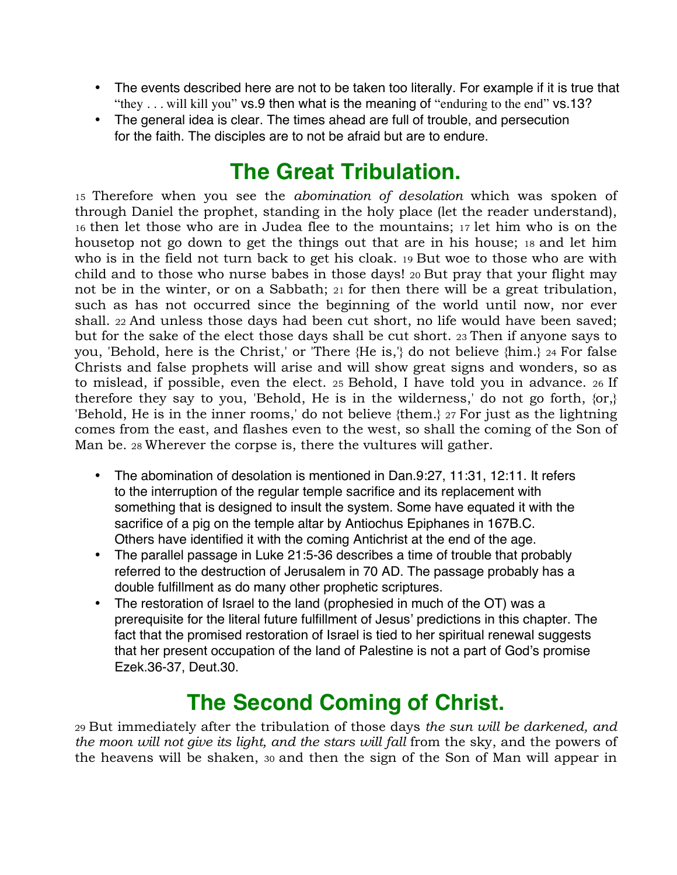- The events described here are not to be taken too literally. For example if it is true that "they . . . will kill you" vs.9 then what is the meaning of "enduring to the end" vs.13?
- The general idea is clear. The times ahead are full of trouble, and persecution for the faith. The disciples are to not be afraid but are to endure.

### **The Great Tribulation.**

15 Therefore when you see the *abomination of desolation* which was spoken of through Daniel the prophet, standing in the holy place (let the reader understand), 16 then let those who are in Judea flee to the mountains; 17 let him who is on the housetop not go down to get the things out that are in his house; 18 and let him who is in the field not turn back to get his cloak. 19 But woe to those who are with child and to those who nurse babes in those days! 20 But pray that your flight may not be in the winter, or on a Sabbath; 21 for then there will be a great tribulation, such as has not occurred since the beginning of the world until now, nor ever shall. 22 And unless those days had been cut short, no life would have been saved; but for the sake of the elect those days shall be cut short. 23 Then if anyone says to you, 'Behold, here is the Christ,' or 'There {He is,'} do not believe {him.} 24 For false Christs and false prophets will arise and will show great signs and wonders, so as to mislead, if possible, even the elect. 25 Behold, I have told you in advance. 26 If therefore they say to you, 'Behold, He is in the wilderness,' do not go forth,  $\{or\}$ 'Behold, He is in the inner rooms,' do not believe {them.} 27 For just as the lightning comes from the east, and flashes even to the west, so shall the coming of the Son of Man be. 28 Wherever the corpse is, there the vultures will gather.

- The abomination of desolation is mentioned in Dan.9:27, 11:31, 12:11. It refers to the interruption of the regular temple sacrifice and its replacement with something that is designed to insult the system. Some have equated it with the sacrifice of a pig on the temple altar by Antiochus Epiphanes in 167B.C. Others have identified it with the coming Antichrist at the end of the age.
- The parallel passage in Luke 21:5-36 describes a time of trouble that probably referred to the destruction of Jerusalem in 70 AD. The passage probably has a double fulfillment as do many other prophetic scriptures.
- The restoration of Israel to the land (prophesied in much of the OT) was a prerequisite for the literal future fulfillment of Jesus' predictions in this chapter. The fact that the promised restoration of Israel is tied to her spiritual renewal suggests that her present occupation of the land of Palestine is not a part of God's promise Ezek.36-37, Deut.30.

### **The Second Coming of Christ.**

29 But immediately after the tribulation of those days *the sun will be darkened, and the moon will not give its light, and the stars will fall* from the sky, and the powers of the heavens will be shaken, 30 and then the sign of the Son of Man will appear in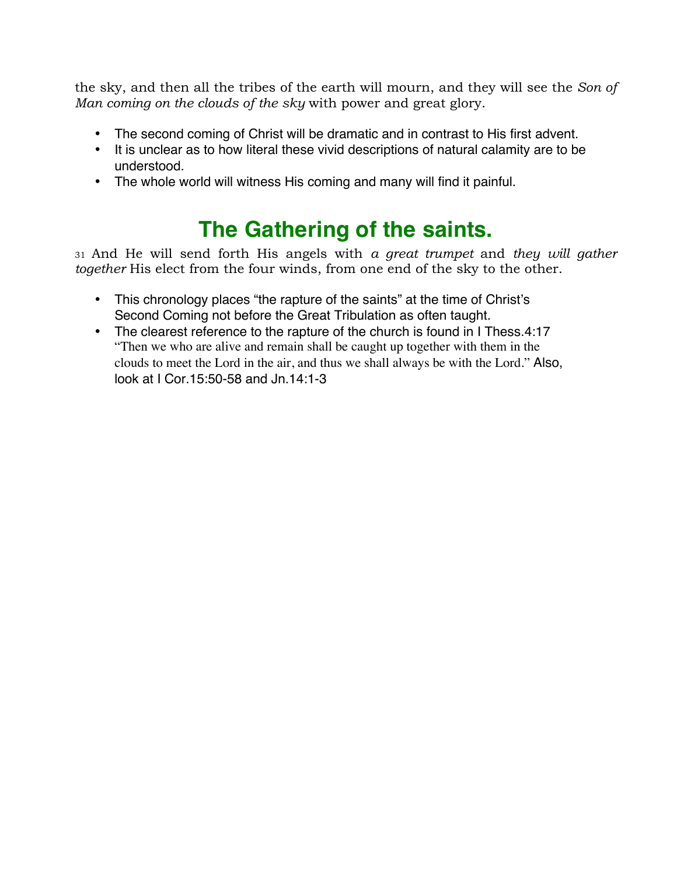the sky, and then all the tribes of the earth will mourn, and they will see the *Son of Man coming on the clouds of the sky* with power and great glory.

- The second coming of Christ will be dramatic and in contrast to His first advent.
- It is unclear as to how literal these vivid descriptions of natural calamity are to be understood.
- The whole world will witness His coming and many will find it painful.

## **The Gathering of the saints.**

31 And He will send forth His angels with *a great trumpet* and *they will gather together* His elect from the four winds, from one end of the sky to the other.

- This chronology places "the rapture of the saints" at the time of Christ's Second Coming not before the Great Tribulation as often taught.
- The clearest reference to the rapture of the church is found in I Thess.4:17 "Then we who are alive and remain shall be caught up together with them in the clouds to meet the Lord in the air, and thus we shall always be with the Lord." Also, look at I Cor.15:50-58 and Jn.14:1-3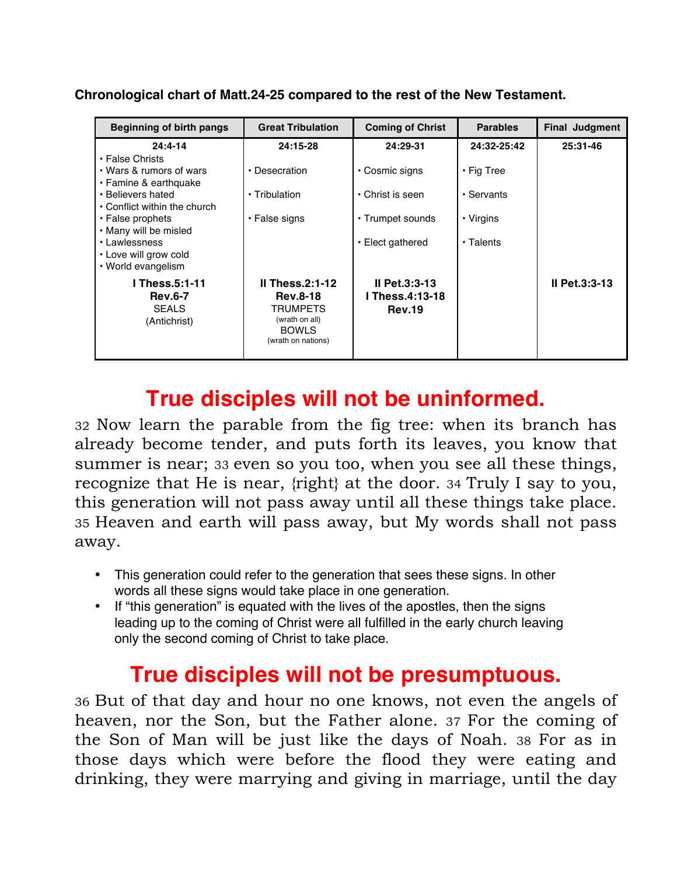| <b>Beginning of birth pangs</b>                                                                                                           | <b>Great Tribulation</b>                                                                                  | <b>Coming of Christ</b>                                    | <b>Parables</b>                | <b>Final Judgment</b> |
|-------------------------------------------------------------------------------------------------------------------------------------------|-----------------------------------------------------------------------------------------------------------|------------------------------------------------------------|--------------------------------|-----------------------|
| $24:4 - 14$                                                                                                                               | 24:15-28                                                                                                  | 24:29-31                                                   | 24:32-25:42                    | 25:31-46              |
| • False Christs<br>• Wars & rumors of wars<br>• Famine & earthquake<br>• Believers hated                                                  | • Desecration<br>• Tribulation                                                                            | • Cosmic signs<br>• Christ is seen                         | $\cdot$ Fig Tree<br>• Servants |                       |
| • Conflict within the church<br>• False prophets<br>• Many will be misled<br>• Lawlessness<br>• Love will grow cold<br>• World evangelism | • False signs                                                                                             | • Trumpet sounds<br>• Elect gathered                       | • Virgins<br>• Talents         |                       |
| <b>I Thess.5:1-11</b><br><b>Rev.6-7</b><br><b>SEALS</b><br>(Antichrist)                                                                   | Il Thess. $2:1-12$<br><b>Rev.8-18</b><br>TRUMPETS<br>(wrath on all)<br><b>BOWLS</b><br>(wrath on nations) | $II$ Pet.3:3-13<br><b>I Thess.4:13-18</b><br><b>Rev.19</b> |                                | II Pet.3:3-13         |

### **True disciples will not be uninformed.**

32 Now learn the parable from the fig tree: when its branch has already become tender, and puts forth its leaves, you know that summer is near; 33 even so you too, when you see all these things, recognize that He is near, {right} at the door. 34 Truly I say to you, this generation will not pass away until all these things take place. 35 Heaven and earth will pass away, but My words shall not pass away.

- This generation could refer to the generation that sees these signs. In other words all these signs would take place in one generation.
- If "this generation" is equated with the lives of the apostles, then the signs leading up to the coming of Christ were all fulfilled in the early church leaving only the second coming of Christ to take place.

### **True disciples will not be presumptuous.**

36 But of that day and hour no one knows, not even the angels of heaven, nor the Son, but the Father alone. 37 For the coming of the Son of Man will be just like the days of Noah. 38 For as in those days which were before the flood they were eating and drinking, they were marrying and giving in marriage, until the day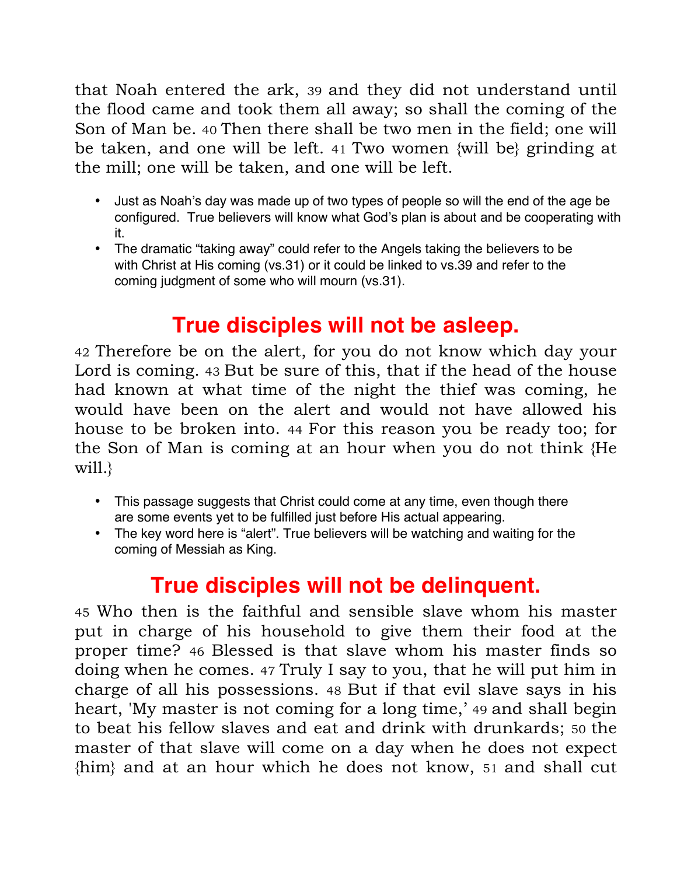that Noah entered the ark, 39 and they did not understand until the flood came and took them all away; so shall the coming of the Son of Man be. 40 Then there shall be two men in the field; one will be taken, and one will be left. 41 Two women {will be} grinding at the mill; one will be taken, and one will be left.

- Just as Noah's day was made up of two types of people so will the end of the age be configured. True believers will know what God's plan is about and be cooperating with it.
- The dramatic "taking away" could refer to the Angels taking the believers to be with Christ at His coming (vs.31) or it could be linked to vs.39 and refer to the coming judgment of some who will mourn (vs.31).

### **True disciples will not be asleep.**

42 Therefore be on the alert, for you do not know which day your Lord is coming. 43 But be sure of this, that if the head of the house had known at what time of the night the thief was coming, he would have been on the alert and would not have allowed his house to be broken into. 44 For this reason you be ready too; for the Son of Man is coming at an hour when you do not think {He will.

- This passage suggests that Christ could come at any time, even though there are some events yet to be fulfilled just before His actual appearing.
- The key word here is "alert". True believers will be watching and waiting for the coming of Messiah as King.

### **True disciples will not be delinquent.**

45 Who then is the faithful and sensible slave whom his master put in charge of his household to give them their food at the proper time? 46 Blessed is that slave whom his master finds so doing when he comes. 47 Truly I say to you, that he will put him in charge of all his possessions. 48 But if that evil slave says in his heart, 'My master is not coming for a long time,' 49 and shall begin to beat his fellow slaves and eat and drink with drunkards; 50 the master of that slave will come on a day when he does not expect {him} and at an hour which he does not know, 51 and shall cut